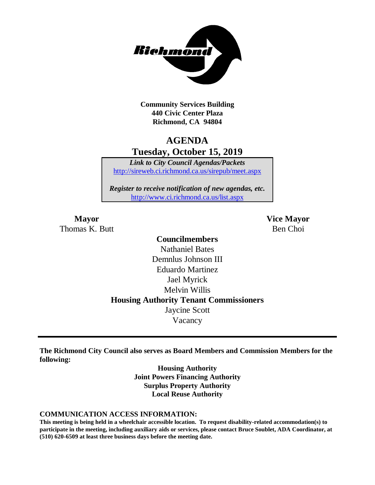

**Community Services Building 440 Civic Center Plaza Richmond, CA 94804**

# **AGENDA Tuesday, October 15, 2019**

*Link to City Council Agendas/Packets* <http://sireweb.ci.richmond.ca.us/sirepub/meet.aspx>

*Register to receive notification of new agendas, etc.* <http://www.ci.richmond.ca.us/list.aspx>

Thomas K. Butt Ben Choi

**Mayor Vice Mayor**

## **Councilmembers** Nathaniel Bates Demnlus Johnson III Eduardo Martinez Jael Myrick Melvin Willis **Housing Authority Tenant Commissioners** Jaycine Scott Vacancy

**The Richmond City Council also serves as Board Members and Commission Members for the following:**

> **Housing Authority Joint Powers Financing Authority Surplus Property Authority Local Reuse Authority**

#### **COMMUNICATION ACCESS INFORMATION:**

**This meeting is being held in a wheelchair accessible location. To request disability-related accommodation(s) to participate in the meeting, including auxiliary aids or services, please contact Bruce Soublet, ADA Coordinator, at (510) 620-6509 at least three business days before the meeting date.**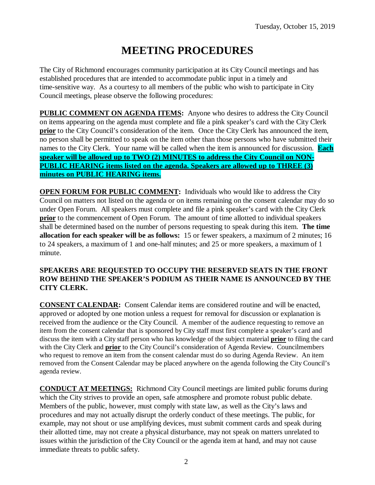# **MEETING PROCEDURES**

The City of Richmond encourages community participation at its City Council meetings and has established procedures that are intended to accommodate public input in a timely and time-sensitive way. As a courtesy to all members of the public who wish to participate in City Council meetings, please observe the following procedures:

**PUBLIC COMMENT ON AGENDA ITEMS:** Anyone who desires to address the City Council on items appearing on the agenda must complete and file a pink speaker's card with the City Clerk **prior** to the City Council's consideration of the item. Once the City Clerk has announced the item, no person shall be permitted to speak on the item other than those persons who have submitted their names to the City Clerk. Your name will be called when the item is announced for discussion. **Each speaker will be allowed up to TWO (2) MINUTES to address the City Council on NON-PUBLIC HEARING items listed on the agenda. Speakers are allowed up to THREE (3) minutes on PUBLIC HEARING items.**

**OPEN FORUM FOR PUBLIC COMMENT:** Individuals who would like to address the City Council on matters not listed on the agenda or on items remaining on the consent calendar may do so under Open Forum. All speakers must complete and file a pink speaker's card with the City Clerk **prior** to the commencement of Open Forum. The amount of time allotted to individual speakers shall be determined based on the number of persons requesting to speak during this item. **The time allocation for each speaker will be as follows:** 15 or fewer speakers, a maximum of 2 minutes; 16 to 24 speakers, a maximum of 1 and one-half minutes; and 25 or more speakers, a maximum of 1 minute.

#### **SPEAKERS ARE REQUESTED TO OCCUPY THE RESERVED SEATS IN THE FRONT ROW BEHIND THE SPEAKER'S PODIUM AS THEIR NAME IS ANNOUNCED BY THE CITY CLERK.**

**CONSENT CALENDAR:** Consent Calendar items are considered routine and will be enacted, approved or adopted by one motion unless a request for removal for discussion or explanation is received from the audience or the City Council. A member of the audience requesting to remove an item from the consent calendar that is sponsored by City staff must first complete a speaker's card and discuss the item with a City staff person who has knowledge of the subject material **prior** to filing the card with the City Clerk and **prior** to the City Council's consideration of Agenda Review. Councilmembers who request to remove an item from the consent calendar must do so during Agenda Review. An item removed from the Consent Calendar may be placed anywhere on the agenda following the City Council's agenda review.

**CONDUCT AT MEETINGS:** Richmond City Council meetings are limited public forums during which the City strives to provide an open, safe atmosphere and promote robust public debate. Members of the public, however, must comply with state law, as well as the City's laws and procedures and may not actually disrupt the orderly conduct of these meetings. The public, for example, may not shout or use amplifying devices, must submit comment cards and speak during their allotted time, may not create a physical disturbance, may not speak on matters unrelated to issues within the jurisdiction of the City Council or the agenda item at hand, and may not cause immediate threats to public safety.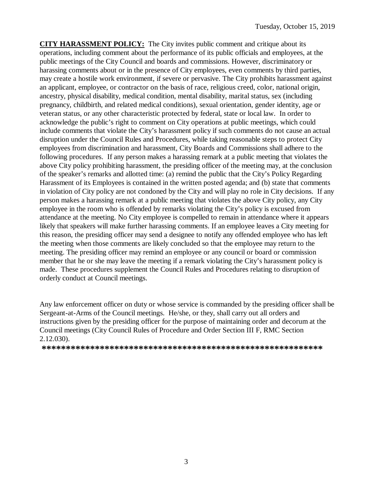**CITY HARASSMENT POLICY:** The City invites public comment and critique about its operations, including comment about the performance of its public officials and employees, at the public meetings of the City Council and boards and commissions. However, discriminatory or harassing comments about or in the presence of City employees, even comments by third parties, may create a hostile work environment, if severe or pervasive. The City prohibits harassment against an applicant, employee, or contractor on the basis of race, religious creed, color, national origin, ancestry, physical disability, medical condition, mental disability, marital status, sex (including pregnancy, childbirth, and related medical conditions), sexual orientation, gender identity, age or veteran status, or any other characteristic protected by federal, state or local law. In order to acknowledge the public's right to comment on City operations at public meetings, which could include comments that violate the City's harassment policy if such comments do not cause an actual disruption under the Council Rules and Procedures, while taking reasonable steps to protect City employees from discrimination and harassment, City Boards and Commissions shall adhere to the following procedures. If any person makes a harassing remark at a public meeting that violates the above City policy prohibiting harassment, the presiding officer of the meeting may, at the conclusion of the speaker's remarks and allotted time: (a) remind the public that the City's Policy Regarding Harassment of its Employees is contained in the written posted agenda; and (b) state that comments in violation of City policy are not condoned by the City and will play no role in City decisions. If any person makes a harassing remark at a public meeting that violates the above City policy, any City employee in the room who is offended by remarks violating the City's policy is excused from attendance at the meeting. No City employee is compelled to remain in attendance where it appears likely that speakers will make further harassing comments. If an employee leaves a City meeting for this reason, the presiding officer may send a designee to notify any offended employee who has left the meeting when those comments are likely concluded so that the employee may return to the meeting. The presiding officer may remind an employee or any council or board or commission member that he or she may leave the meeting if a remark violating the City's harassment policy is made. These procedures supplement the Council Rules and Procedures relating to disruption of orderly conduct at Council meetings.

Any law enforcement officer on duty or whose service is commanded by the presiding officer shall be Sergeant-at-Arms of the Council meetings. He/she, or they, shall carry out all orders and instructions given by the presiding officer for the purpose of maintaining order and decorum at the Council meetings (City Council Rules of Procedure and Order Section III F, RMC Section 2.12.030).

**\*\*\*\*\*\*\*\*\*\*\*\*\*\*\*\*\*\*\*\*\*\*\*\*\*\*\*\*\*\*\*\*\*\*\*\*\*\*\*\*\*\*\*\*\*\*\*\*\*\*\*\*\*\*\*\*\*\***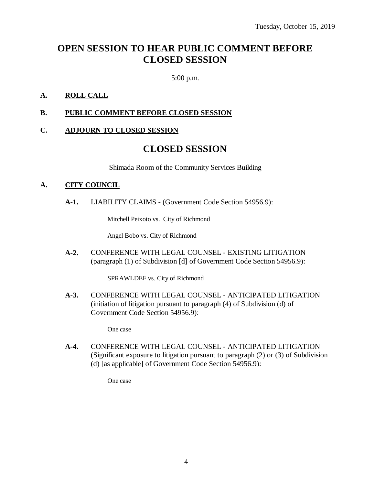# **OPEN SESSION TO HEAR PUBLIC COMMENT BEFORE CLOSED SESSION**

5:00 p.m.

### **A. ROLL CALL**

#### **B. PUBLIC COMMENT BEFORE CLOSED SESSION**

#### **C. ADJOURN TO CLOSED SESSION**

### **CLOSED SESSION**

Shimada Room of the Community Services Building

#### **A. CITY COUNCIL**

**A-1.** LIABILITY CLAIMS - (Government Code Section 54956.9):

Mitchell Peixoto vs. City of Richmond

Angel Bobo vs. City of Richmond

**A-2.** CONFERENCE WITH LEGAL COUNSEL - EXISTING LITIGATION (paragraph (1) of Subdivision [d] of Government Code Section 54956.9):

SPRAWLDEF vs. City of Richmond

**A-3.** CONFERENCE WITH LEGAL COUNSEL - ANTICIPATED LITIGATION (initiation of litigation pursuant to paragraph (4) of Subdivision (d) of Government Code Section 54956.9):

One case

**A-4.** CONFERENCE WITH LEGAL COUNSEL - ANTICIPATED LITIGATION (Significant exposure to litigation pursuant to paragraph (2) or (3) of Subdivision (d) [as applicable] of Government Code Section 54956.9):

One case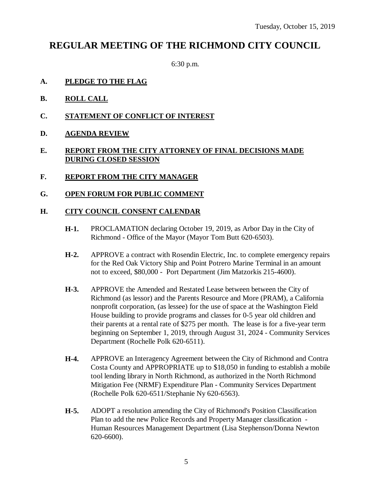# **REGULAR MEETING OF THE RICHMOND CITY COUNCIL**

6:30 p.m.

- **A. PLEDGE TO THE FLAG**
- **B. ROLL CALL**
- **C. STATEMENT OF CONFLICT OF INTEREST**
- **D. AGENDA REVIEW**

### **E. REPORT FROM THE CITY ATTORNEY OF FINAL DECISIONS MADE DURING CLOSED SESSION**

- **F. REPORT FROM THE CITY MANAGER**
- **G. OPEN FORUM FOR PUBLIC COMMENT**

#### **H. CITY COUNCIL CONSENT CALENDAR**

- **H-1.** PROCLAMATION declaring October 19, 2019, as Arbor Day in the City of Richmond - Office of the Mayor (Mayor Tom Butt 620-6503).
- **H-2.** APPROVE a contract with Rosendin Electric, Inc. to complete emergency repairs for the Red Oak Victory Ship and Point Potrero Marine Terminal in an amount not to exceed, \$80,000 - Port Department (Jim Matzorkis 215-4600).
- **H-3.** APPROVE the Amended and Restated Lease between between the City of Richmond (as lessor) and the Parents Resource and More (PRAM), a California nonprofit corporation, (as lessee) for the use of space at the Washington Field House building to provide programs and classes for 0-5 year old children and their parents at a rental rate of \$275 per month. The lease is for a five-year term beginning on September 1, 2019, through August 31, 2024 - Community Services Department (Rochelle Polk 620-6511).
- **H-4.** APPROVE an Interagency Agreement between the City of Richmond and Contra Costa County and APPROPRIATE up to \$18,050 in funding to establish a mobile tool lending library in North Richmond, as authorized in the North Richmond Mitigation Fee (NRMF) Expenditure Plan - Community Services Department (Rochelle Polk 620-6511/Stephanie Ny 620-6563).
- **H-5.** ADOPT a resolution amending the City of Richmond's Position Classification Plan to add the new Police Records and Property Manager classification - Human Resources Management Department (Lisa Stephenson/Donna Newton 620-6600).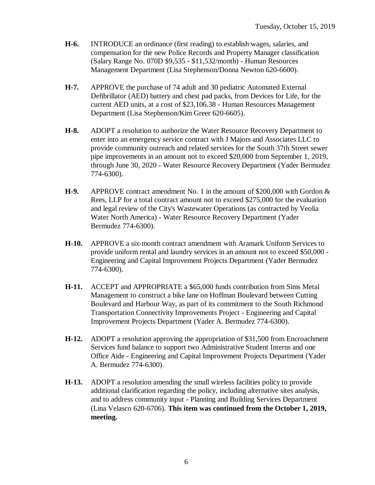- **H-6.** INTRODUCE an ordinance (first reading) to establish wages, salaries, and compensation for the new Police Records and Property Manager classification (Salary Range No. 070D \$9,535 - \$11,532/month) - Human Resources Management Department (Lisa Stephenson/Donna Newton 620-6600).
- **H-7.** APPROVE the purchase of 74 adult and 30 pediatric Automated External Defibrillator (AED) battery and chest pad packs, from Devices for Life, for the current AED units, at a cost of \$23,106.38 - Human Resources Management Department (Lisa Stephenson/Kim Greer 620-6605).
- **H-8.** ADOPT a resolution to authorize the Water Resource Recovery Department to enter into an emergency service contract with J Majors and Associates LLC to provide community outreach and related services for the South 37th Street sewer pipe improvements in an amount not to exceed \$20,000 from September 1, 2019, through June 30, 2020 - Water Resource Recovery Department (Yader Bermudez 774-6300).
- **H-9.** APPROVE contract amendment No. 1 in the amount of \$200,000 with Gordon & Rees, LLP for a total contract amount not to exceed \$275,000 for the evaluation and legal review of the City's Wastewater Operations (as contracted by Veolia Water North America) - Water Resource Recovery Department (Yader Bermudez 774-6300).
- **H-10.** APPROVE a six-month contract amendment with Aramark Uniform Services to provide uniform rental and laundry services in an amount not to exceed \$50,000 - Engineering and Capital Improvement Projects Department (Yader Bermudez 774-6300).
- **H-11.** ACCEPT and APPROPRIATE a \$65,000 funds contribution from Sims Metal Management to construct a bike lane on Hoffman Boulevard between Cutting Boulevard and Harbour Way, as part of its commitment to the South Richmond Transportation Connectivity Improvements Project - Engineering and Capital Improvement Projects Department (Yader A. Bermudez 774-6300).
- **H-12.** ADOPT a resolution approving the appropriation of \$31,500 from Encroachment Services fund balance to support two Administrative Student Interns and one Office Aide - Engineering and Capital Improvement Projects Department (Yader A. Bermudez 774-6300).
- **H-13.** ADOPT a resolution amending the small wireless facilities policy to provide additional clarification regarding the policy, including alternative sites analysis, and to address community input - Planning and Building Services Department (Lina Velasco 620-6706). **This item was continued from the October 1, 2019, meeting.**